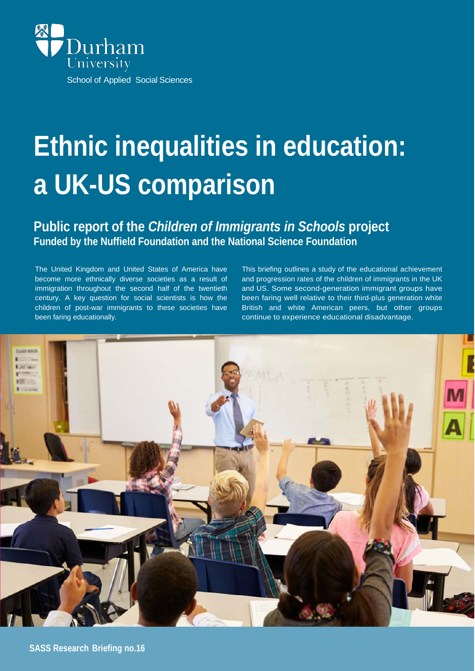

# **Ethnic inequalities in education: a UK-US comparison**

#### **Public report of the** *Children of Immigrants in Schools* **project Funded by the Nuffield Foundation and the National Science Foundation**

The United Kingdom and United States of America have become more ethnically diverse societies as a result of immigration throughout the second half of the twentieth century. A key question for social scientists is how the children of post-war immigrants to these societies have been faring educationally.

This briefing outlines a study of the educational achievement and progression rates of the children of immigrants in the UK and US. Some second-generation immigrant groups have been faring well relative to their third-plus generation white British and white American peers, but other groups continue to experience educational disadvantage.

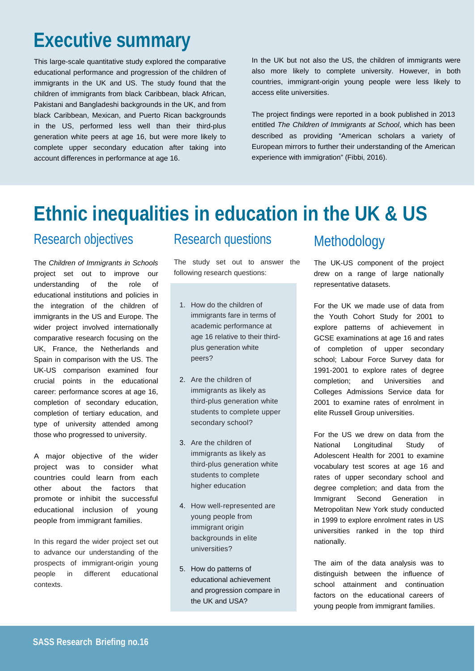# **Executive summary**

This large-scale quantitative study explored the comparative educational performance and progression of the children of immigrants in the UK and US. The study found that the children of immigrants from black Caribbean, black African, Pakistani and Bangladeshi backgrounds in the UK, and from black Caribbean, Mexican, and Puerto Rican backgrounds in the US, performed less well than their third-plus generation white peers at age 16, but were more likely to complete upper secondary education after taking into account differences in performance at age 16.

In the UK but not also the US, the children of immigrants were also more likely to complete university. However, in both countries, immigrant-origin young people were less likely to access elite universities.

The project findings were reported in a book published in 2013 entitled *The Children of Immigrants at School*, which has been described as providing "American scholars a variety of European mirrors to further their understanding of the American experience with immigration" (Fibbi, 2016).

# **Ethnic inequalities in education in the UK & US**

## Research objectives

The *Children of Immigrants in Schools*  project set out to improve our understanding of the role of educational institutions and policies in the integration of the children of immigrants in the US and Europe. The wider project involved internationally comparative research focusing on the UK, France, the Netherlands and Spain in comparison with the US. The UK-US comparison examined four crucial points in the educational career: performance scores at age 16, completion of secondary education, completion of tertiary education, and type of university attended among those who progressed to university.

A major objective of the wider project was to consider what countries could learn from each other about the factors that promote or inhibit the successful educational inclusion of young people from immigrant families.

In this regard the wider project set out to advance our understanding of the prospects of immigrant-origin young people in different educational contexts.

#### Research questions

The study set out to answer the following research questions:

- 1. How do the children of immigrants fare in terms of academic performance at age 16 relative to their thirdplus generation white peers?
- 2. Are the children of immigrants as likely as third-plus generation white students to complete upper secondary school?
- 3. Are the children of immigrants as likely as third-plus generation white students to complete higher education
- 4. How well-represented are young people from immigrant origin backgrounds in elite universities?
- 5. How do patterns of educational achievement and progression compare in the UK and USA?

## Methodology

The UK-US component of the project drew on a range of large nationally representative datasets.

For the UK we made use of data from the Youth Cohort Study for 2001 to explore patterns of achievement in GCSE examinations at age 16 and rates of completion of upper secondary school; Labour Force Survey data for 1991-2001 to explore rates of degree completion; and Universities and Colleges Admissions Service data for 2001 to examine rates of enrolment in elite Russell Group universities.

For the US we drew on data from the National Longitudinal Study of Adolescent Health for 2001 to examine vocabulary test scores at age 16 and rates of upper secondary school and degree completion; and data from the Immigrant Second Generation in Metropolitan New York study conducted in 1999 to explore enrolment rates in US universities ranked in the top third nationally.

The aim of the data analysis was to distinguish between the influence of school attainment and continuation factors on the educational careers of young people from immigrant families.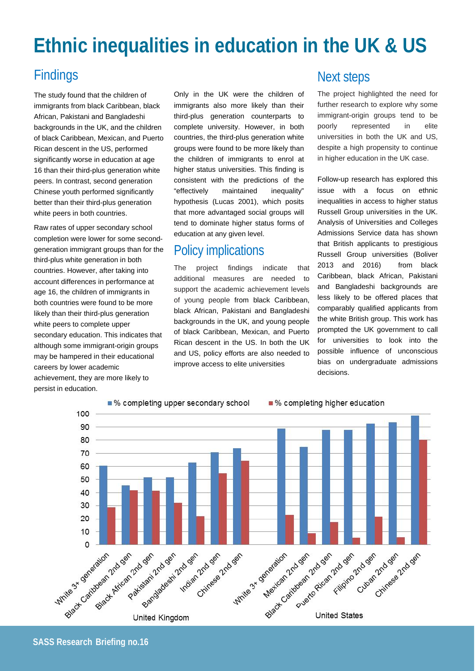# **Ethnic inequalities in education in the UK & US**

### Findings

The study found that the children of immigrants from black Caribbean, black African, Pakistani and Bangladeshi backgrounds in the UK, and the children of black Caribbean, Mexican, and Puerto Rican descent in the US, performed significantly worse in education at age 16 than their third-plus generation white peers. In contrast, second generation Chinese youth performed significantly better than their third-plus generation white peers in both countries.

Raw rates of upper secondary school completion were lower for some secondgeneration immigrant groups than for the third-plus white generation in both countries. However, after taking into account differences in performance at age 16, the children of immigrants in both countries were found to be more likely than their third-plus generation white peers to complete upper secondary education. This indicates that although some immigrant-origin groups may be hampered in their educational careers by lower academic achievement, they are more likely to persist in education.

Only in the UK were the children of immigrants also more likely than their third-plus generation counterparts to complete university. However, in both countries, the third-plus generation white groups were found to be more likely than the children of immigrants to enrol at higher status universities. This finding is consistent with the predictions of the "effectively maintained inequality" hypothesis (Lucas 2001), which posits that more advantaged social groups will tend to dominate higher status forms of education at any given level.

### Policy implications

The project findings indicate that additional measures are needed to support the academic achievement levels of young people from black Caribbean, black African, Pakistani and Bangladeshi backgrounds in the UK, and young people of black Caribbean, Mexican, and Puerto Rican descent in the US. In both the UK and US, policy efforts are also needed to improve access to elite universities

#### Next steps

The project highlighted the need for further research to explore why some immigrant-origin groups tend to be poorly represented in elite universities in both the UK and US, despite a high propensity to continue in higher education in the UK case.

Follow-up research has explored this issue with a focus on ethnic inequalities in access to higher status Russell Group universities in the UK. Analysis of Universities and Colleges Admissions Service data has shown that British applicants to prestigious Russell Group universities (Boliver 2013 and 2016) from black Caribbean, black African, Pakistani and Bangladeshi backgrounds are less likely to be offered places that comparably qualified applicants from the white British group. This work has prompted the UK government to call for universities to look into the possible influence of unconscious bias on undergraduate admissions decisions.



**SASS Research Briefing no.16**